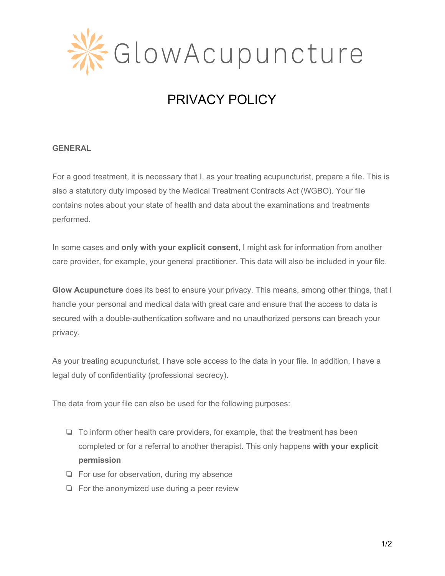

# PRIVACY POLICY

#### **GENERAL**

For a good treatment, it is necessary that I, as your treating acupuncturist, prepare a file. This is also a statutory duty imposed by the Medical Treatment Contracts Act (WGBO). Your file contains notes about your state of health and data about the examinations and treatments performed.

In some cases and **only with your explicit consent**, I might ask for information from another care provider, for example, your general practitioner. This data will also be included in your file.

**Glow Acupuncture** does its best to ensure your privacy. This means, among other things, that I handle your personal and medical data with great care and ensure that the access to data is secured with a double-authentication software and no unauthorized persons can breach your privacy.

As your treating acupuncturist, I have sole access to the data in your file. In addition, I have a legal duty of confidentiality (professional secrecy).

The data from your file can also be used for the following purposes:

- ❏ To inform other health care providers, for example, that the treatment has been completed or for a referral to another therapist. This only happens **with your explicit permission**
- ❏ For use for observation, during my absence
- ❏ For the anonymized use during a peer review